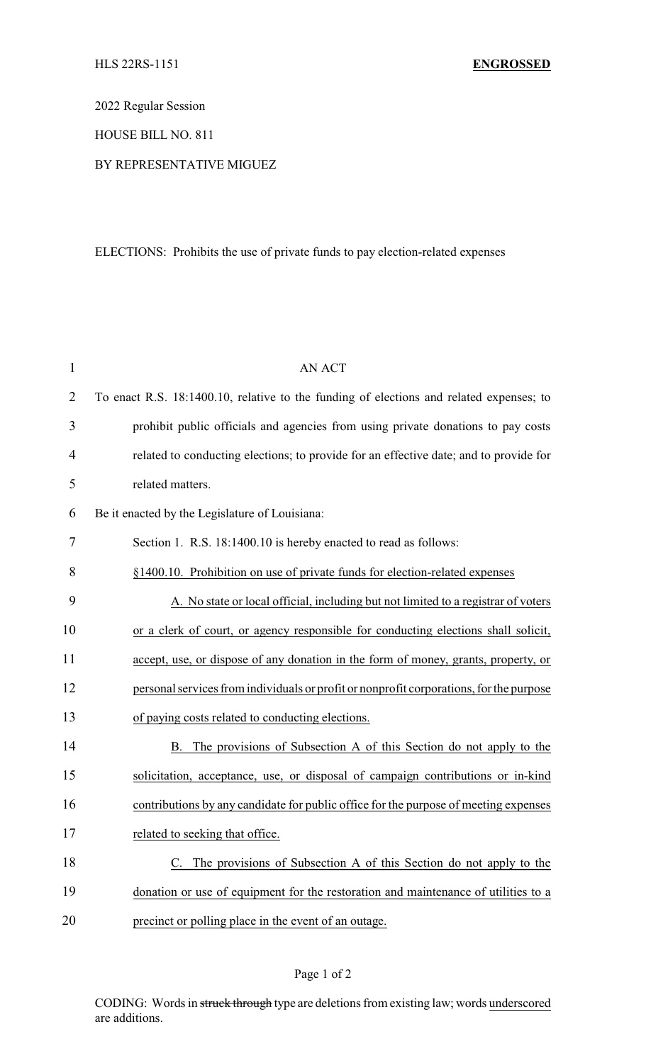2022 Regular Session

HOUSE BILL NO. 811

## BY REPRESENTATIVE MIGUEZ

## ELECTIONS: Prohibits the use of private funds to pay election-related expenses

| $\mathbf{1}$   | <b>AN ACT</b>                                                                           |
|----------------|-----------------------------------------------------------------------------------------|
| $\overline{2}$ | To enact R.S. 18:1400.10, relative to the funding of elections and related expenses; to |
| 3              | prohibit public officials and agencies from using private donations to pay costs        |
| 4              | related to conducting elections; to provide for an effective date; and to provide for   |
| 5              | related matters.                                                                        |
| 6              | Be it enacted by the Legislature of Louisiana:                                          |
| 7              | Section 1. R.S. 18:1400.10 is hereby enacted to read as follows:                        |
| 8              | §1400.10. Prohibition on use of private funds for election-related expenses             |
| 9              | A. No state or local official, including but not limited to a registrar of voters       |
| 10             | or a clerk of court, or agency responsible for conducting elections shall solicit,      |
| 11             | accept, use, or dispose of any donation in the form of money, grants, property, or      |
| 12             | personal services from individuals or profit or nonprofit corporations, for the purpose |
| 13             | of paying costs related to conducting elections.                                        |
| 14             | The provisions of Subsection A of this Section do not apply to the<br>B.                |
| 15             | solicitation, acceptance, use, or disposal of campaign contributions or in-kind         |
| 16             | contributions by any candidate for public office for the purpose of meeting expenses    |
| 17             | related to seeking that office.                                                         |
| 18             | C. The provisions of Subsection A of this Section do not apply to the                   |
| 19             | donation or use of equipment for the restoration and maintenance of utilities to a      |
| 20             | precinct or polling place in the event of an outage.                                    |

## Page 1 of 2

CODING: Words in struck through type are deletions from existing law; words underscored are additions.